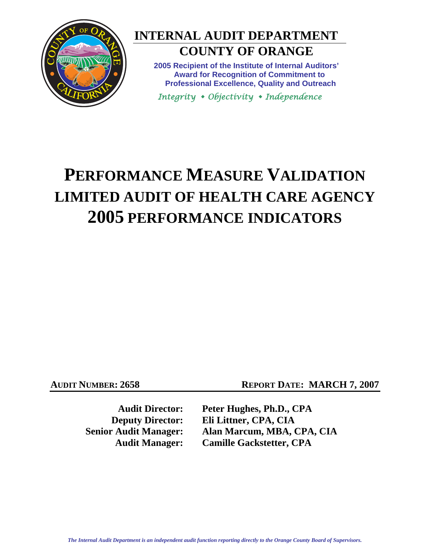

## **INTERNAL AUDIT DEPARTMENT COUNTY OF ORANGE**

**2005 Recipient of the Institute of Internal Auditors' Award for Recognition of Commitment to Professional Excellence, Quality and Outreach** 

*Integrity Objectivity Independence*

# **PERFORMANCE MEASURE VALIDATION LIMITED AUDIT OF HEALTH CARE AGENCY 2005 PERFORMANCE INDICATORS**

**AUDIT NUMBER: 2658** REPORT DATE: MARCH 7, 2007

**Audit Director: Peter Hughes, Ph.D., CPA Deputy Director: Eli Littner, CPA, CIA Senior Audit Manager: Alan Marcum, MBA, CPA, CIA Audit Manager: Camille Gackstetter, CPA**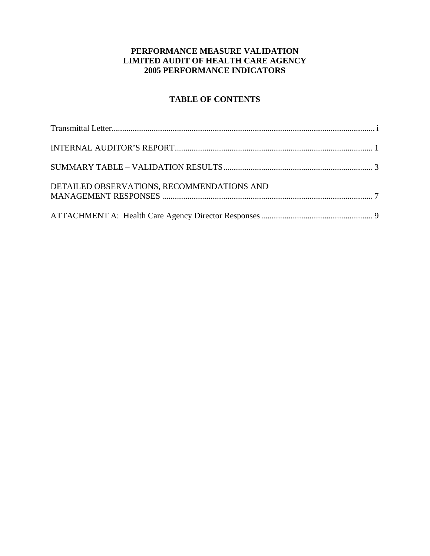#### **PERFORMANCE MEASURE VALIDATION LIMITED AUDIT OF HEALTH CARE AGENCY 2005 PERFORMANCE INDICATORS**

### **TABLE OF CONTENTS**

| DETAILED OBSERVATIONS, RECOMMENDATIONS AND |  |
|--------------------------------------------|--|
|                                            |  |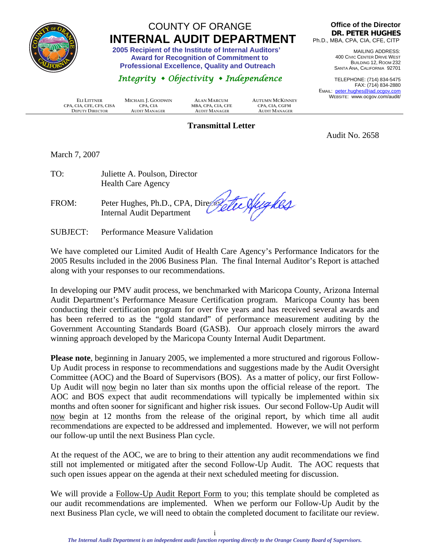<span id="page-2-0"></span>

## COUNTY OF ORANGE  **INTERNAL AUDIT DEPARTMENT 2005 Recipient of the Institute of Internal Auditors'**

 **Award for Recognition of Commitment to Professional Excellence, Quality and Outreach** 

### *Integrity Objectivity Independence*

 **CPA, CIA, CFE, CFS, CISA CPA, CIA MBA, CPA, CIA, CFE CPA, CIA, CGFM DEPUTY DIRECTOR** 

**ELI LITTNER MICHAEL J. GOODWIN ALAN MARCUM AUTUMN MCKINNEY**

**Office of the Director DR. PETER HUGHES** Ph.D., MBA, CPA, CIA, CFE, CITP

> MAILING ADDRESS: 400 CIVIC CENTER DRIVE WEST BUILDING 12, ROOM 232 SANTA ANA, CALIFORNIA 92701

TELEPHONE: (714) 834-5475 FAX: (714) 834-2880 EMAIL: peter.hughes@iad.ocgov.com WEBSITE: www.ocgov.com/audit/

**Transmittal Letter** 

Audit No. 2658

March 7, 2007

| TO: | Juliette A. Poulson, Director |
|-----|-------------------------------|
|     | <b>Health Care Agency</b>     |

FROM: Peter Hughes, Ph.D., CPA, Director Internal Audit Department

SUBJECT: Performance Measure Validation

We have completed our Limited Audit of Health Care Agency's Performance Indicators for the 2005 Results included in the 2006 Business Plan. The final Internal Auditor's Report is attached along with your responses to our recommendations.

In developing our PMV audit process, we benchmarked with Maricopa County, Arizona Internal Audit Department's Performance Measure Certification program. Maricopa County has been conducting their certification program for over five years and has received several awards and has been referred to as the "gold standard" of performance measurement auditing by the Government Accounting Standards Board (GASB). Our approach closely mirrors the award winning approach developed by the Maricopa County Internal Audit Department.

**Please note**, beginning in January 2005, we implemented a more structured and rigorous Follow-Up Audit process in response to recommendations and suggestions made by the Audit Oversight Committee (AOC) and the Board of Supervisors (BOS). As a matter of policy, our first Follow-Up Audit will now begin no later than six months upon the official release of the report. The AOC and BOS expect that audit recommendations will typically be implemented within six months and often sooner for significant and higher risk issues. Our second Follow-Up Audit will now begin at 12 months from the release of the original report, by which time all audit recommendations are expected to be addressed and implemented. However, we will not perform our follow-up until the next Business Plan cycle.

At the request of the AOC, we are to bring to their attention any audit recommendations we find still not implemented or mitigated after the second Follow-Up Audit. The AOC requests that such open issues appear on the agenda at their next scheduled meeting for discussion.

We will provide a Follow-Up Audit Report Form to you; this template should be completed as our audit recommendations are implemented. When we perform our Follow-Up Audit by the next Business Plan cycle, we will need to obtain the completed document to facilitate our review.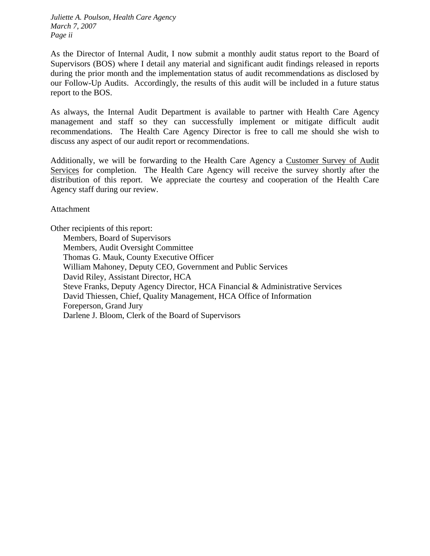*Juliette A. Poulson, Health Care Agency March 7, 2007 Page ii* 

As the Director of Internal Audit, I now submit a monthly audit status report to the Board of Supervisors (BOS) where I detail any material and significant audit findings released in reports during the prior month and the implementation status of audit recommendations as disclosed by our Follow-Up Audits. Accordingly, the results of this audit will be included in a future status report to the BOS.

As always, the Internal Audit Department is available to partner with Health Care Agency management and staff so they can successfully implement or mitigate difficult audit recommendations. The Health Care Agency Director is free to call me should she wish to discuss any aspect of our audit report or recommendations.

Additionally, we will be forwarding to the Health Care Agency a Customer Survey of Audit Services for completion. The Health Care Agency will receive the survey shortly after the distribution of this report. We appreciate the courtesy and cooperation of the Health Care Agency staff during our review.

Attachment

Other recipients of this report: Members, Board of Supervisors Members, Audit Oversight Committee Thomas G. Mauk, County Executive Officer William Mahoney, Deputy CEO, Government and Public Services David Riley, Assistant Director, HCA Steve Franks, Deputy Agency Director, HCA Financial & Administrative Services David Thiessen, Chief, Quality Management, HCA Office of Information Foreperson, Grand Jury Darlene J. Bloom, Clerk of the Board of Supervisors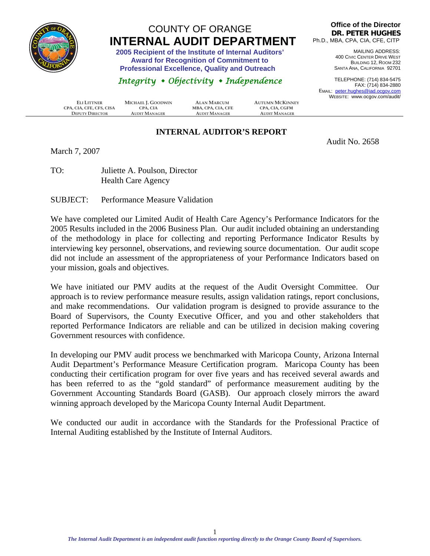<span id="page-4-0"></span>

## COUNTY OF ORANGE **INTERNAL AUDIT DEPARTMENT** 2005 Recipient of the Institute of Internal Auditors'

 **Award for Recognition of Commitment to Professional Excellence, Quality and Outreach** 

### *Integrity Objectivity Independence*

**CPA, CIA, CFE, CFS, CISA CPA, CIA CPA, CIA MBA, CPA, CIA, CFE CPA, CIA**, CGFM<br> **CPA, CIA CPA, CIA CPA, CIA CPA, CHA CPA CPA CIA**<br> **CPA CPA CPA CPA CPA CPA CPA CPA CPA CPA CPA CPA**  $D$ **EPUTY DIRECTOR** 

**ELI LITTNER MICHAEL J. GOODWIN ALAN MARCUM AUTUMN MCKINNEY**

#### **Office of the Director DR. PETER HUGHES** Ph.D., MBA, CPA, CIA, CFE, CITP

MAILING ADDRESS: 400 CIVIC CENTER DRIVE WEST BUILDING 12, ROOM 232 SANTA ANA, CALIFORNIA 92701

TELEPHONE: (714) 834-5475 FAX: (714) 834-2880 EMAIL: peter.hughes@iad.ocgov.com WEBSITE: www.ocgov.com/audit/

### **INTERNAL AUDITOR'S REPORT**

Audit No. 2658

March 7, 2007

TO: Juliette A. Poulson, Director Health Care Agency

SUBJECT: Performance Measure Validation

We have completed our Limited Audit of Health Care Agency's Performance Indicators for the 2005 Results included in the 2006 Business Plan. Our audit included obtaining an understanding of the methodology in place for collecting and reporting Performance Indicator Results by interviewing key personnel, observations, and reviewing source documentation. Our audit scope did not include an assessment of the appropriateness of your Performance Indicators based on your mission, goals and objectives.

We have initiated our PMV audits at the request of the Audit Oversight Committee. Our approach is to review performance measure results, assign validation ratings, report conclusions, and make recommendations. Our validation program is designed to provide assurance to the Board of Supervisors, the County Executive Officer, and you and other stakeholders that reported Performance Indicators are reliable and can be utilized in decision making covering Government resources with confidence.

In developing our PMV audit process we benchmarked with Maricopa County, Arizona Internal Audit Department's Performance Measure Certification program. Maricopa County has been conducting their certification program for over five years and has received several awards and has been referred to as the "gold standard" of performance measurement auditing by the Government Accounting Standards Board (GASB). Our approach closely mirrors the award winning approach developed by the Maricopa County Internal Audit Department.

We conducted our audit in accordance with the Standards for the Professional Practice of Internal Auditing established by the Institute of Internal Auditors.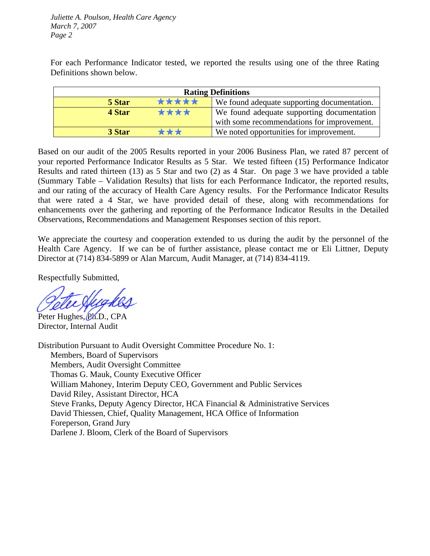*Juliette A. Poulson, Health Care Agency March 7, 2007 Page 2* 

For each Performance Indicator tested, we reported the results using one of the three Rating Definitions shown below.

| <b>Rating Definitions</b> |                                             |  |  |  |
|---------------------------|---------------------------------------------|--|--|--|
| *****<br>5 Star           | We found adequate supporting documentation. |  |  |  |
| ****<br>4 Star            | We found adequate supporting documentation  |  |  |  |
|                           | with some recommendations for improvement.  |  |  |  |
| ***<br>3 Star             | We noted opportunities for improvement.     |  |  |  |

Based on our audit of the 2005 Results reported in your 2006 Business Plan, we rated 87 percent of your reported Performance Indicator Results as 5 Star. We tested fifteen (15) Performance Indicator Results and rated thirteen (13) as 5 Star and two (2) as 4 Star. On page 3 we have provided a table (Summary Table – Validation Results) that lists for each Performance Indicator, the reported results, and our rating of the accuracy of Health Care Agency results. For the Performance Indicator Results that were rated a 4 Star, we have provided detail of these, along with recommendations for enhancements over the gathering and reporting of the Performance Indicator Results in the Detailed Observations, Recommendations and Management Responses section of this report.

We appreciate the courtesy and cooperation extended to us during the audit by the personnel of the Health Care Agency. If we can be of further assistance, please contact me or Eli Littner, Deputy Director at (714) 834-5899 or Alan Marcum, Audit Manager, at (714) 834-4119.

Respectfully Submitted,

Peter Hughes, PA.D., CPA Director, Internal Audit

Distribution Pursuant to Audit Oversight Committee Procedure No. 1: Members, Board of Supervisors Members, Audit Oversight Committee Thomas G. Mauk, County Executive Officer William Mahoney, Interim Deputy CEO, Government and Public Services David Riley, Assistant Director, HCA Steve Franks, Deputy Agency Director, HCA Financial & Administrative Services David Thiessen, Chief, Quality Management, HCA Office of Information Foreperson, Grand Jury Darlene J. Bloom, Clerk of the Board of Supervisors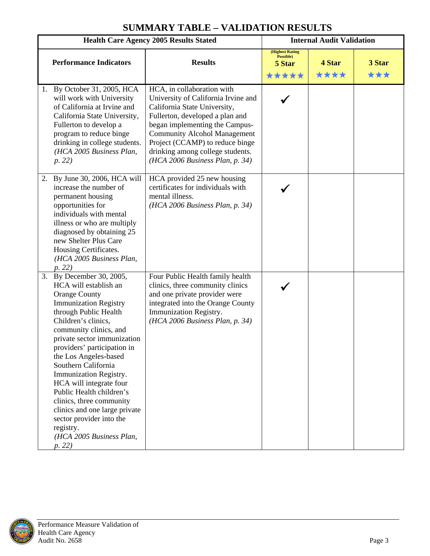<span id="page-6-0"></span>

| <b>Health Care Agency 2005 Results Stated</b>                                                                                                                                                                                                                                                                                                                                                                                                                                                                                  |                                                                                                                                                                                                                                                                                                                         | <b>Internal Audit Validation</b>                |                |               |
|--------------------------------------------------------------------------------------------------------------------------------------------------------------------------------------------------------------------------------------------------------------------------------------------------------------------------------------------------------------------------------------------------------------------------------------------------------------------------------------------------------------------------------|-------------------------------------------------------------------------------------------------------------------------------------------------------------------------------------------------------------------------------------------------------------------------------------------------------------------------|-------------------------------------------------|----------------|---------------|
| <b>Performance Indicators</b>                                                                                                                                                                                                                                                                                                                                                                                                                                                                                                  | <b>Results</b>                                                                                                                                                                                                                                                                                                          | (Highest Rating<br>Possible)<br>5 Star<br>***** | 4 Star<br>**** | 3 Star<br>*** |
| 1. By October 31, 2005, HCA<br>will work with University<br>of California at Irvine and<br>California State University,<br>Fullerton to develop a<br>program to reduce binge<br>drinking in college students.<br>(HCA 2005 Business Plan,<br>p. 22)                                                                                                                                                                                                                                                                            | HCA, in collaboration with<br>University of California Irvine and<br>California State University,<br>Fullerton, developed a plan and<br>began implementing the Campus-<br><b>Community Alcohol Management</b><br>Project (CCAMP) to reduce binge<br>drinking among college students.<br>(HCA 2006 Business Plan, p. 34) |                                                 |                |               |
| 2. By June 30, 2006, HCA will<br>increase the number of<br>permanent housing<br>opportunities for<br>individuals with mental<br>illness or who are multiply<br>diagnosed by obtaining 25<br>new Shelter Plus Care<br>Housing Certificates.<br>(HCA 2005 Business Plan,<br>p. 22)                                                                                                                                                                                                                                               | HCA provided 25 new housing<br>certificates for individuals with<br>mental illness.<br>(HCA 2006 Business Plan, p. 34)                                                                                                                                                                                                  |                                                 |                |               |
| 3. By December 30, 2005,<br>HCA will establish an<br><b>Orange County</b><br><b>Immunization Registry</b><br>through Public Health<br>Children's clinics,<br>community clinics, and<br>private sector immunization<br>providers' participation in<br>the Los Angeles-based<br>Southern California<br>Immunization Registry.<br>HCA will integrate four<br>Public Health children's<br>clinics, three community<br>clinics and one large private<br>sector provider into the<br>registry.<br>(HCA 2005 Business Plan,<br>p. 22) | Four Public Health family health<br>clinics, three community clinics<br>and one private provider were<br>integrated into the Orange County<br>Immunization Registry.<br>(HCA 2006 Business Plan, p. 34)                                                                                                                 |                                                 |                |               |

## **SUMMARY TABLE – VALIDATION RESULTS**

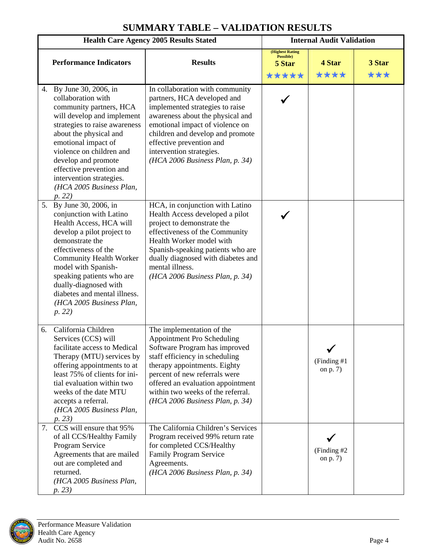| <b>Health Care Agency 2005 Results Stated</b> |                                                                                                                                                                                                                                                                                                                                             | <b>Internal Audit Validation</b>                                                                                                                                                                                                                                                                         |                                                        |                          |               |
|-----------------------------------------------|---------------------------------------------------------------------------------------------------------------------------------------------------------------------------------------------------------------------------------------------------------------------------------------------------------------------------------------------|----------------------------------------------------------------------------------------------------------------------------------------------------------------------------------------------------------------------------------------------------------------------------------------------------------|--------------------------------------------------------|--------------------------|---------------|
|                                               | <b>Performance Indicators</b>                                                                                                                                                                                                                                                                                                               | <b>Results</b>                                                                                                                                                                                                                                                                                           | <b>(Highest Rating</b><br>Possible)<br>5 Star<br>***** | 4 Star<br>****           | 3 Star<br>*** |
|                                               | 4. By June 30, 2006, in<br>collaboration with<br>community partners, HCA<br>will develop and implement<br>strategies to raise awareness<br>about the physical and<br>emotional impact of<br>violence on children and<br>develop and promote<br>effective prevention and<br>intervention strategies.<br>(HCA 2005 Business Plan,<br>p. 22)   | In collaboration with community<br>partners, HCA developed and<br>implemented strategies to raise<br>awareness about the physical and<br>emotional impact of violence on<br>children and develop and promote<br>effective prevention and<br>intervention strategies.<br>(HCA 2006 Business Plan, p. 34)  |                                                        |                          |               |
|                                               | 5. By June 30, 2006, in<br>conjunction with Latino<br>Health Access, HCA will<br>develop a pilot project to<br>demonstrate the<br>effectiveness of the<br><b>Community Health Worker</b><br>model with Spanish-<br>speaking patients who are<br>dually-diagnosed with<br>diabetes and mental illness.<br>(HCA 2005 Business Plan,<br>p. 22) | HCA, in conjunction with Latino<br>Health Access developed a pilot<br>project to demonstrate the<br>effectiveness of the Community<br>Health Worker model with<br>Spanish-speaking patients who are<br>dually diagnosed with diabetes and<br>mental illness.<br>(HCA 2006 Business Plan, p. 34)          |                                                        |                          |               |
|                                               | California Children<br>6.<br>Services (CCS) will<br>facilitate access to Medical<br>Therapy (MTU) services by<br>offering appointments to at<br>least 75% of clients for ini-<br>tial evaluation within two<br>weeks of the date MTU<br>accepts a referral.<br>(HCA 2005 Business Plan,<br>p. 23)                                           | The implementation of the<br>Appointment Pro Scheduling<br>Software Program has improved<br>staff efficiency in scheduling<br>therapy appointments. Eighty<br>percent of new referrals were<br>offered an evaluation appointment<br>within two weeks of the referral.<br>(HCA 2006 Business Plan, p. 34) |                                                        | (Finding #1)<br>on p. 7) |               |
|                                               | 7. CCS will ensure that 95%<br>of all CCS/Healthy Family<br>Program Service<br>Agreements that are mailed<br>out are completed and<br>returned.<br>(HCA 2005 Business Plan,<br>p. 23)                                                                                                                                                       | The California Children's Services<br>Program received 99% return rate<br>for completed CCS/Healthy<br>Family Program Service<br>Agreements.<br>(HCA 2006 Business Plan, p. 34)                                                                                                                          |                                                        | (Finding #2)<br>on p. 7) |               |

## **SUMMARY TABLE – VALIDATION RESULTS**

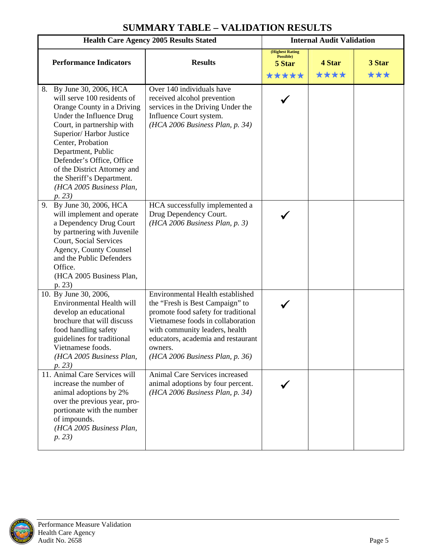|                                                                                                                                                                                                                                                                                                                                                          | <b>Health Care Agency 2005 Results Stated</b>                                                                                                                                                                                                                         |                                                 | <b>Internal Audit Validation</b> |               |
|----------------------------------------------------------------------------------------------------------------------------------------------------------------------------------------------------------------------------------------------------------------------------------------------------------------------------------------------------------|-----------------------------------------------------------------------------------------------------------------------------------------------------------------------------------------------------------------------------------------------------------------------|-------------------------------------------------|----------------------------------|---------------|
| <b>Performance Indicators</b>                                                                                                                                                                                                                                                                                                                            | <b>Results</b>                                                                                                                                                                                                                                                        | (Highest Rating<br>Possible)<br>5 Star<br>***** | 4 Star<br>****                   | 3 Star<br>*** |
| By June 30, 2006, HCA<br>8.<br>will serve 100 residents of<br>Orange County in a Driving<br>Under the Influence Drug<br>Court, in partnership with<br>Superior/Harbor Justice<br>Center, Probation<br>Department, Public<br>Defender's Office, Office<br>of the District Attorney and<br>the Sheriff's Department.<br>(HCA 2005 Business Plan,<br>p. 23) | Over 140 individuals have<br>received alcohol prevention<br>services in the Driving Under the<br>Influence Court system.<br>(HCA 2006 Business Plan, p. 34)                                                                                                           |                                                 |                                  |               |
| By June 30, 2006, HCA<br>9.<br>will implement and operate<br>a Dependency Drug Court<br>by partnering with Juvenile<br>Court, Social Services<br>Agency, County Counsel<br>and the Public Defenders<br>Office.<br>(HCA 2005 Business Plan,<br>p. 23)                                                                                                     | HCA successfully implemented a<br>Drug Dependency Court.<br>(HCA 2006 Business Plan, p. 3)                                                                                                                                                                            |                                                 |                                  |               |
| 10. By June 30, 2006,<br>Environmental Health will<br>develop an educational<br>brochure that will discuss<br>food handling safety<br>guidelines for traditional<br>Vietnamese foods.<br>(HCA 2005 Business Plan,<br>p. 23)                                                                                                                              | Environmental Health established<br>the "Fresh is Best Campaign" to<br>promote food safety for traditional<br>Vietnamese foods in collaboration<br>with community leaders, health<br>educators, academia and restaurant<br>owners.<br>(HCA 2006 Business Plan, p. 36) |                                                 |                                  |               |
| 11. Animal Care Services will<br>increase the number of<br>animal adoptions by 2%<br>over the previous year, pro-<br>portionate with the number<br>of impounds.<br>(HCA 2005 Business Plan,<br>p. 23)                                                                                                                                                    | Animal Care Services increased<br>animal adoptions by four percent.<br>(HCA 2006 Business Plan, p. 34)                                                                                                                                                                |                                                 |                                  |               |

## **SUMMARY TABLE – VALIDATION RESULTS**

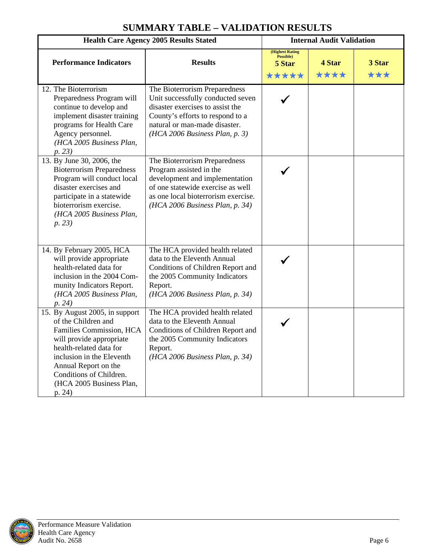| <b>Health Care Agency 2005 Results Stated</b>                                                                                                                                                                                                                  |                                                                                                                                                                                                               | <b>Internal Audit Validation</b>                        |                |               |
|----------------------------------------------------------------------------------------------------------------------------------------------------------------------------------------------------------------------------------------------------------------|---------------------------------------------------------------------------------------------------------------------------------------------------------------------------------------------------------------|---------------------------------------------------------|----------------|---------------|
| <b>Performance Indicators</b>                                                                                                                                                                                                                                  | <b>Results</b>                                                                                                                                                                                                | <b>(Highest Rating)</b><br>Possible)<br>5 Star<br>***** | 4 Star<br>**** | 3 Star<br>*** |
| 12. The Bioterrorism<br>Preparedness Program will<br>continue to develop and<br>implement disaster training<br>programs for Health Care<br>Agency personnel.<br>(HCA 2005 Business Plan,<br>p. 23)                                                             | The Bioterrorism Preparedness<br>Unit successfully conducted seven<br>disaster exercises to assist the<br>County's efforts to respond to a<br>natural or man-made disaster.<br>(HCA 2006 Business Plan, p. 3) |                                                         |                |               |
| 13. By June 30, 2006, the<br><b>Bioterrorism Preparedness</b><br>Program will conduct local<br>disaster exercises and<br>participate in a statewide<br>bioterrorism exercise.<br>(HCA 2005 Business Plan,<br>p. 23)                                            | The Bioterrorism Preparedness<br>Program assisted in the<br>development and implementation<br>of one statewide exercise as well<br>as one local bioterrorism exercise.<br>(HCA 2006 Business Plan, p. 34)     |                                                         |                |               |
| 14. By February 2005, HCA<br>will provide appropriate<br>health-related data for<br>inclusion in the 2004 Com-<br>munity Indicators Report.<br>(HCA 2005 Business Plan,<br>p. 24)                                                                              | The HCA provided health related<br>data to the Eleventh Annual<br>Conditions of Children Report and<br>the 2005 Community Indicators<br>Report.<br>(HCA 2006 Business Plan, p. 34)                            |                                                         |                |               |
| 15. By August 2005, in support<br>of the Children and<br>Families Commission, HCA<br>will provide appropriate<br>health-related data for<br>inclusion in the Eleventh<br>Annual Report on the<br>Conditions of Children.<br>(HCA 2005 Business Plan,<br>p. 24) | The HCA provided health related<br>data to the Eleventh Annual<br>Conditions of Children Report and<br>the 2005 Community Indicators<br>Report.<br>(HCA 2006 Business Plan, p. 34)                            |                                                         |                |               |

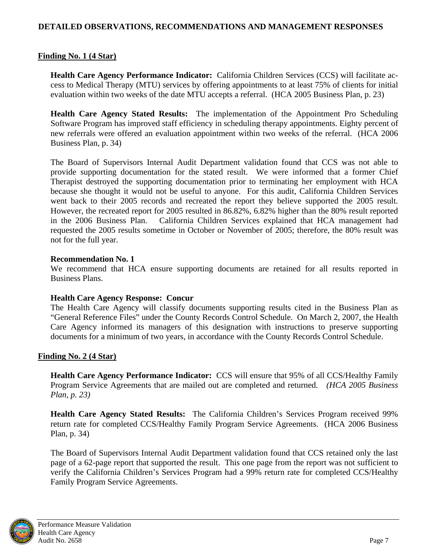#### <span id="page-10-0"></span>**DETAILED OBSERVATIONS, RECOMMENDATIONS AND MANAGEMENT RESPONSES**

#### **Finding No. 1 (4 Star)**

**Health Care Agency Performance Indicator:** California Children Services (CCS) will facilitate access to Medical Therapy (MTU) services by offering appointments to at least 75% of clients for initial evaluation within two weeks of the date MTU accepts a referral. (HCA 2005 Business Plan, p. 23)

**Health Care Agency Stated Results:** The implementation of the Appointment Pro Scheduling Software Program has improved staff efficiency in scheduling therapy appointments. Eighty percent of new referrals were offered an evaluation appointment within two weeks of the referral. (HCA 2006 Business Plan, p. 34)

The Board of Supervisors Internal Audit Department validation found that CCS was not able to provide supporting documentation for the stated result. We were informed that a former Chief Therapist destroyed the supporting documentation prior to terminating her employment with HCA because she thought it would not be useful to anyone. For this audit, California Children Services went back to their 2005 records and recreated the report they believe supported the 2005 result. However, the recreated report for 2005 resulted in 86.82%, 6.82% higher than the 80% result reported in the 2006 Business Plan. California Children Services explained that HCA management had requested the 2005 results sometime in October or November of 2005; therefore, the 80% result was not for the full year.

#### **Recommendation No. 1**

We recommend that HCA ensure supporting documents are retained for all results reported in Business Plans.

#### **Health Care Agency Response: Concur**

The Health Care Agency will classify documents supporting results cited in the Business Plan as "General Reference Files" under the County Records Control Schedule. On March 2, 2007, the Health Care Agency informed its managers of this designation with instructions to preserve supporting documents for a minimum of two years, in accordance with the County Records Control Schedule.

#### **Finding No. 2 (4 Star)**

**Health Care Agency Performance Indicator:** CCS will ensure that 95% of all CCS/Healthy Family Program Service Agreements that are mailed out are completed and returned. *(HCA 2005 Business Plan, p. 23)*

**Health Care Agency Stated Results:** The California Children's Services Program received 99% return rate for completed CCS/Healthy Family Program Service Agreements. (HCA 2006 Business Plan, p. 34)

The Board of Supervisors Internal Audit Department validation found that CCS retained only the last page of a 62-page report that supported the result. This one page from the report was not sufficient to verify the California Children's Services Program had a 99% return rate for completed CCS/Healthy Family Program Service Agreements.

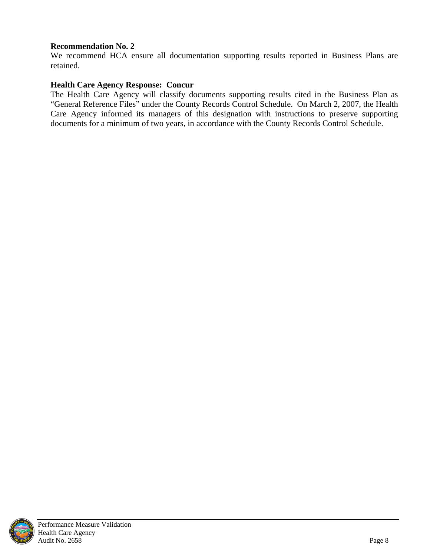#### **Recommendation No. 2**

We recommend HCA ensure all documentation supporting results reported in Business Plans are retained.

#### **Health Care Agency Response: Concur**

The Health Care Agency will classify documents supporting results cited in the Business Plan as "General Reference Files" under the County Records Control Schedule. On March 2, 2007, the Health Care Agency informed its managers of this designation with instructions to preserve supporting documents for a minimum of two years, in accordance with the County Records Control Schedule.

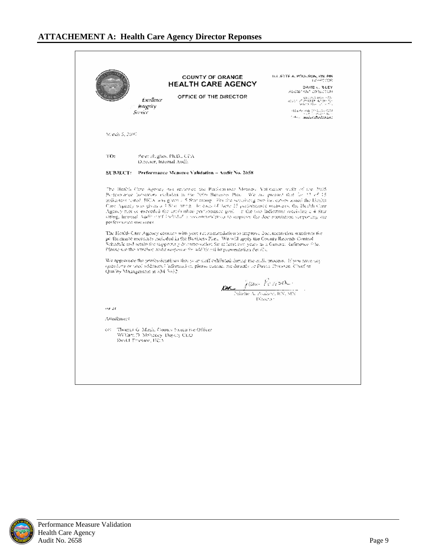<span id="page-12-0"></span> $0.4$  JEDDS A, POUGSON, BM, MN  $10^{12}$  COS COUNTY OF ORANGE **HEALTH CARE AGENCY** DAVID U. RHEY<br>ASSISTANT DITECTION OFFICE OF THE DIRECTOR  $\begin{array}{l} 324\, (1812\, 4191 \times 62) \\ 405\, 50\, 7^7\, 73\, 52\, 57\, 63\, 510 \\ 95\, (31\, 32)\, 64\, 74\, 74\, 55\, 56 \end{array}$ Excellence magnity Service Mirch 5, 2007 TO: Peret Hughes, Ph.D., CPA Director, Internal Audit SUBJECT: Performance Mcasine Validation - Audit No. 2658 The Health Care Agency has reviewed the Participanety Messers. Validation multi-of-the 2005, Performance Indicators included in the 2000 Burniers Plan. We are present that for 23 of 15 indicators torted. BCA was given a 5 Star raing. For the remaining two headstors lessed the Health Cum Agenty was given a 4 Star antig. To each of these 15 participants measures, the Health Cum.<br>Agency mot or executed the artificialize performance goal. In the two indicators mechanic a 4 Star oting, integral Audit staff inducted a programmation to approve the documentation supporting are performance mecanese. The Health Care Agency concars with your reconstitutional interrove documentation sundays for performance measures needed in the Business Pari. We will upply the County Records Control Schedule and retain the supporting documentation for at least form years as a General Reference of let Please such the attention an We approve<br>the increase the professionalism that your dail exhibited during the and<br>it process. If you nove additional information piesso contact me directly or David Thicsson. Cluef of<br>Quality Management in 834-7632. *DK June Postson* Director: ive or Attachment cet "Thomas G. Mask, County Sueca ive Officer William D. Mehoney, Deputy CEO<br>David Trussee, BCA

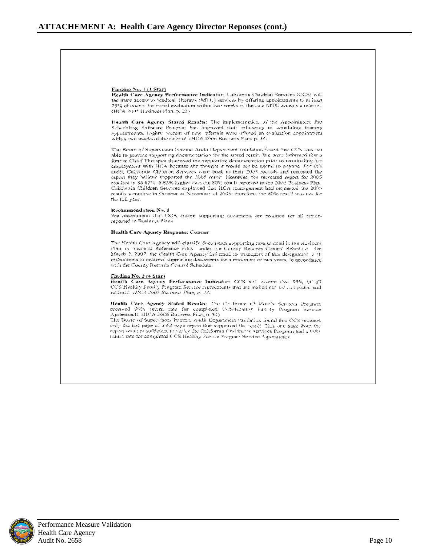#### Finding No. 1 (4 Star)

Health Care Agency Performance Indicator: Calchmia Children Services (CCS) will the linear ancess to Medical Therapy (MTC) services by offering appointments to at least 75% of mores for instal evaluation within two weeks of the date MTU accepts a referral. (HCA 2045 Business Plan, p. 23)

Health Care Agency Stated Results: The implementation of the Appointment Pro-Schereling Suffware Program has improved staff eithering in achelialing therapy agroup means. Toghty become of new referrals were offered an evaluation appointment within two weeks of the referral (HCA 2006 Business Plattin, 34).

The Beam of Supervisors Internal Andri Department validation found that CCN was not able to provide supporting documentation for the stated result. We were informed that a foreior Chief Thorspan descroyed the supporting decumentation prior to terminating iten employment with HCA because she thought it would not be useful to anyone. For this audit, California Children Services wont back to their 2005 records and recreated the report they hallowe supported the 3005 rossit. However, the recreated report for 2005, resulted in 86.82%. 6.82% higher form the 80% result reported in the 2006 Business Plum California Children Setvices explained that HCA management had requested the 2005 results sometime in Outdoor of November of 2005; therefore, the 80% result was not for the full year.

#### Recommendation No. 1

We recommendation that UCA ensure supporting documents are resulted for all resides reported in Business Piena

#### Health Care Agency Response: Concur

The Health Cate Agency will elassify decuments supporting results eited in the Business Plan in "Genetal Reference Fincs" ander the County Records Control Schedule - On March 2, 2007, the Health Circ Agency informed its municipals of this designation is the atstractions to preserve supporting documents for a minimum of two years, to accordance with the County Records County Schedule.

#### $frac{1}{2}$  No. 2 (4 Star)

Health Care Agency Performance Indicator: CCS will charte that 95% of 37 CCS Healthy Family Program Service representational and mailed out too resoluted and returned. (HCA 2003 Business Plan, p. 23)

Health Care Agency Stated Results: The Co forma Children's Services Program received 99% tening rate for completed COS/Hraltby Fability Program Service Agreements, (IICA 2006 Business Pian, n. 34)

The Board of Supervisors Incernal Audit Department vasifiation found that CCS returned enly the last page of a 62-bago report that supported the result. This are page from the report was not sufficient to verify the California California Services Paramichael a 999netural rate for completed CCS Healthy Success Program Service Agreements.